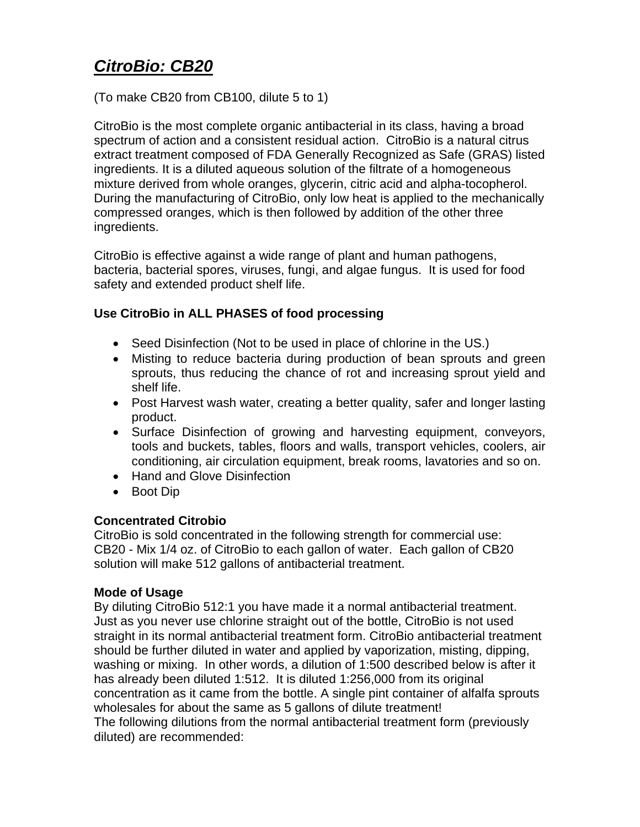# *CitroBio: CB20*

(To make CB20 from CB100, dilute 5 to 1)

CitroBio is the most complete organic antibacterial in its class, having a broad spectrum of action and a consistent residual action. CitroBio is a natural citrus extract treatment composed of FDA Generally Recognized as Safe (GRAS) listed ingredients. It is a diluted aqueous solution of the filtrate of a homogeneous mixture derived from whole oranges, glycerin, citric acid and alpha-tocopherol. During the manufacturing of CitroBio, only low heat is applied to the mechanically compressed oranges, which is then followed by addition of the other three ingredients.

CitroBio is effective against a wide range of plant and human pathogens, bacteria, bacterial spores, viruses, fungi, and algae fungus. It is used for food safety and extended product shelf life.

## **Use CitroBio in ALL PHASES of food processing**

- Seed Disinfection (Not to be used in place of chlorine in the US.)
- Misting to reduce bacteria during production of bean sprouts and green sprouts, thus reducing the chance of rot and increasing sprout yield and shelf life.
- Post Harvest wash water, creating a better quality, safer and longer lasting product.
- Surface Disinfection of growing and harvesting equipment, conveyors, tools and buckets, tables, floors and walls, transport vehicles, coolers, air conditioning, air circulation equipment, break rooms, lavatories and so on.
- Hand and Glove Disinfection
- Boot Dip

### **Concentrated Citrobio**

CitroBio is sold concentrated in the following strength for commercial use: CB20 - Mix 1/4 oz. of CitroBio to each gallon of water. Each gallon of CB20 solution will make 512 gallons of antibacterial treatment.

### **Mode of Usage**

By diluting CitroBio 512:1 you have made it a normal antibacterial treatment. Just as you never use chlorine straight out of the bottle, CitroBio is not used straight in its normal antibacterial treatment form. CitroBio antibacterial treatment should be further diluted in water and applied by vaporization, misting, dipping, washing or mixing. In other words, a dilution of 1:500 described below is after it has already been diluted 1:512. It is diluted 1:256,000 from its original concentration as it came from the bottle. A single pint container of alfalfa sprouts wholesales for about the same as 5 gallons of dilute treatment! The following dilutions from the normal antibacterial treatment form (previously diluted) are recommended: